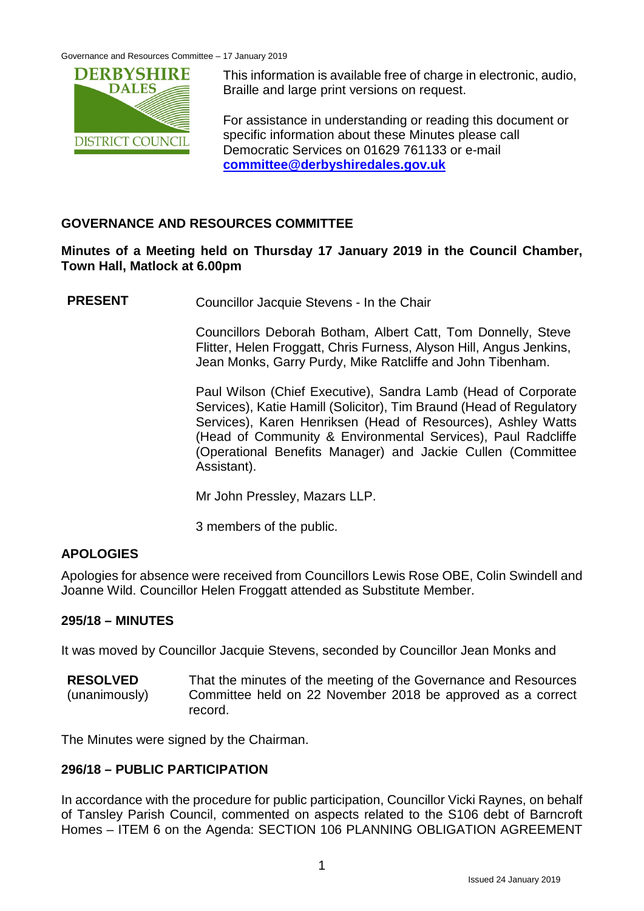Governance and Resources Committee – 17 January 2019



This information is available free of charge in electronic, audio, Braille and large print versions on request.

For assistance in understanding or reading this document or specific information about these Minutes please call Democratic Services on 01629 761133 or e-mail **[committee@derbyshiredales.gov.uk](mailto:committee@derbyshiredales.gov.uk)**

# **GOVERNANCE AND RESOURCES COMMITTEE**

# **Minutes of a Meeting held on Thursday 17 January 2019 in the Council Chamber, Town Hall, Matlock at 6.00pm**

**PRESENT** Councillor Jacquie Stevens - In the Chair

Councillors Deborah Botham, Albert Catt, Tom Donnelly, Steve Flitter, Helen Froggatt, Chris Furness, Alyson Hill, Angus Jenkins, Jean Monks, Garry Purdy, Mike Ratcliffe and John Tibenham.

Paul Wilson (Chief Executive), Sandra Lamb (Head of Corporate Services), Katie Hamill (Solicitor), Tim Braund (Head of Regulatory Services), Karen Henriksen (Head of Resources), Ashley Watts (Head of Community & Environmental Services), Paul Radcliffe (Operational Benefits Manager) and Jackie Cullen (Committee Assistant).

Mr John Pressley, Mazars LLP.

3 members of the public.

## **APOLOGIES**

Apologies for absence were received from Councillors Lewis Rose OBE, Colin Swindell and Joanne Wild. Councillor Helen Froggatt attended as Substitute Member.

## **295/18 – MINUTES**

It was moved by Councillor Jacquie Stevens, seconded by Councillor Jean Monks and

**RESOLVED** (unanimously) That the minutes of the meeting of the Governance and Resources Committee held on 22 November 2018 be approved as a correct record.

The Minutes were signed by the Chairman.

# **296/18 – PUBLIC PARTICIPATION**

In accordance with the procedure for public participation, Councillor Vicki Raynes, on behalf of Tansley Parish Council, commented on aspects related to the S106 debt of Barncroft Homes – ITEM 6 on the Agenda: SECTION 106 PLANNING OBLIGATION AGREEMENT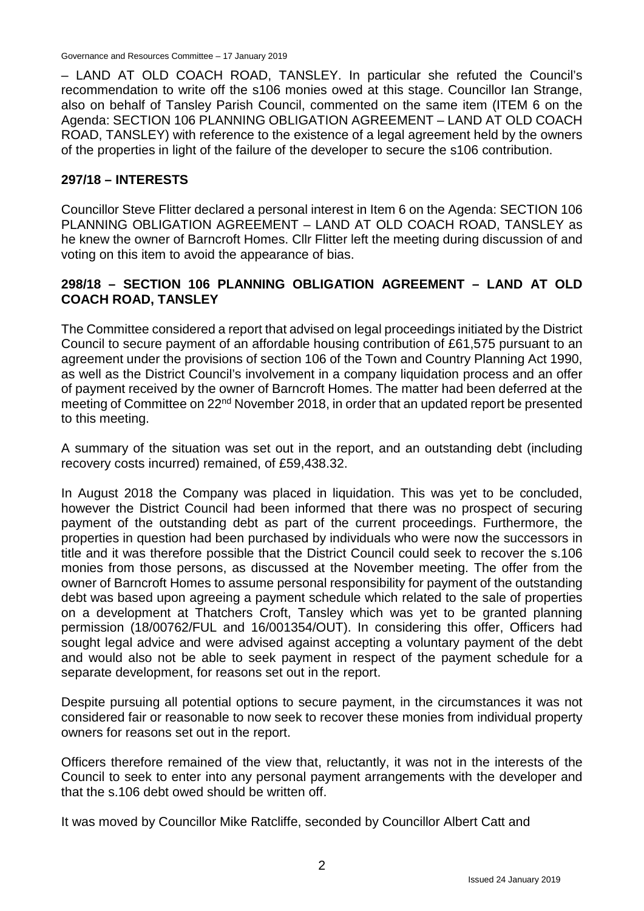Governance and Resources Committee – 17 January 2019

– LAND AT OLD COACH ROAD, TANSLEY. In particular she refuted the Council's recommendation to write off the s106 monies owed at this stage. Councillor Ian Strange, also on behalf of Tansley Parish Council, commented on the same item (ITEM 6 on the Agenda: SECTION 106 PLANNING OBLIGATION AGREEMENT – LAND AT OLD COACH ROAD, TANSLEY) with reference to the existence of a legal agreement held by the owners of the properties in light of the failure of the developer to secure the s106 contribution.

## **297/18 – INTERESTS**

Councillor Steve Flitter declared a personal interest in Item 6 on the Agenda: SECTION 106 PLANNING OBLIGATION AGREEMENT – LAND AT OLD COACH ROAD, TANSLEY as he knew the owner of Barncroft Homes. Cllr Flitter left the meeting during discussion of and voting on this item to avoid the appearance of bias.

# **298/18 – SECTION 106 PLANNING OBLIGATION AGREEMENT – LAND AT OLD COACH ROAD, TANSLEY**

The Committee considered a report that advised on legal proceedings initiated by the District Council to secure payment of an affordable housing contribution of £61,575 pursuant to an agreement under the provisions of section 106 of the Town and Country Planning Act 1990, as well as the District Council's involvement in a company liquidation process and an offer of payment received by the owner of Barncroft Homes. The matter had been deferred at the meeting of Committee on 22nd November 2018, in order that an updated report be presented to this meeting.

A summary of the situation was set out in the report, and an outstanding debt (including recovery costs incurred) remained, of £59,438.32.

In August 2018 the Company was placed in liquidation. This was yet to be concluded, however the District Council had been informed that there was no prospect of securing payment of the outstanding debt as part of the current proceedings. Furthermore, the properties in question had been purchased by individuals who were now the successors in title and it was therefore possible that the District Council could seek to recover the s.106 monies from those persons, as discussed at the November meeting. The offer from the owner of Barncroft Homes to assume personal responsibility for payment of the outstanding debt was based upon agreeing a payment schedule which related to the sale of properties on a development at Thatchers Croft, Tansley which was yet to be granted planning permission (18/00762/FUL and 16/001354/OUT). In considering this offer, Officers had sought legal advice and were advised against accepting a voluntary payment of the debt and would also not be able to seek payment in respect of the payment schedule for a separate development, for reasons set out in the report.

Despite pursuing all potential options to secure payment, in the circumstances it was not considered fair or reasonable to now seek to recover these monies from individual property owners for reasons set out in the report.

Officers therefore remained of the view that, reluctantly, it was not in the interests of the Council to seek to enter into any personal payment arrangements with the developer and that the s.106 debt owed should be written off.

It was moved by Councillor Mike Ratcliffe, seconded by Councillor Albert Catt and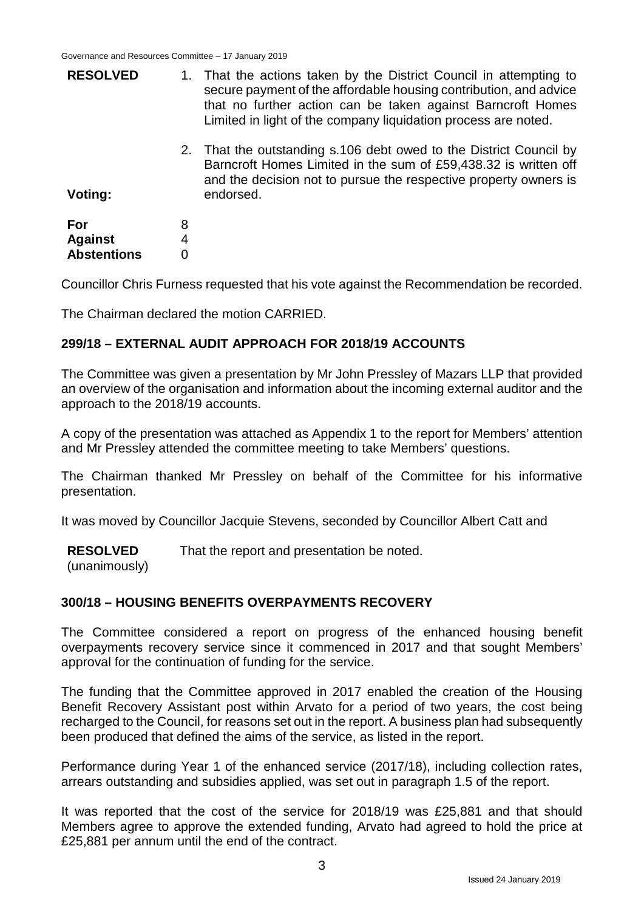| <b>RESOLVED</b><br>Voting:                  |        | 1. That the actions taken by the District Council in attempting to<br>secure payment of the affordable housing contribution, and advice<br>that no further action can be taken against Barncroft Homes<br>Limited in light of the company liquidation process are noted. |
|---------------------------------------------|--------|--------------------------------------------------------------------------------------------------------------------------------------------------------------------------------------------------------------------------------------------------------------------------|
|                                             |        | 2. That the outstanding s.106 debt owed to the District Council by<br>Barncroft Homes Limited in the sum of £59,438.32 is written off<br>and the decision not to pursue the respective property owners is<br>endorsed.                                                   |
| For<br><b>Against</b><br><b>Abstentions</b> | 8<br>4 |                                                                                                                                                                                                                                                                          |
|                                             |        |                                                                                                                                                                                                                                                                          |

Councillor Chris Furness requested that his vote against the Recommendation be recorded.

The Chairman declared the motion CARRIED.

#### **299/18 – EXTERNAL AUDIT APPROACH FOR 2018/19 ACCOUNTS**

The Committee was given a presentation by Mr John Pressley of Mazars LLP that provided an overview of the organisation and information about the incoming external auditor and the approach to the 2018/19 accounts.

A copy of the presentation was attached as Appendix 1 to the report for Members' attention and Mr Pressley attended the committee meeting to take Members' questions.

The Chairman thanked Mr Pressley on behalf of the Committee for his informative presentation.

It was moved by Councillor Jacquie Stevens, seconded by Councillor Albert Catt and

**RESOLVED** That the report and presentation be noted.

(unanimously)

## **300/18 – HOUSING BENEFITS OVERPAYMENTS RECOVERY**

The Committee considered a report on progress of the enhanced housing benefit overpayments recovery service since it commenced in 2017 and that sought Members' approval for the continuation of funding for the service.

The funding that the Committee approved in 2017 enabled the creation of the Housing Benefit Recovery Assistant post within Arvato for a period of two years, the cost being recharged to the Council, for reasons set out in the report. A business plan had subsequently been produced that defined the aims of the service, as listed in the report.

Performance during Year 1 of the enhanced service (2017/18), including collection rates, arrears outstanding and subsidies applied, was set out in paragraph 1.5 of the report.

It was reported that the cost of the service for 2018/19 was £25,881 and that should Members agree to approve the extended funding, Arvato had agreed to hold the price at £25,881 per annum until the end of the contract.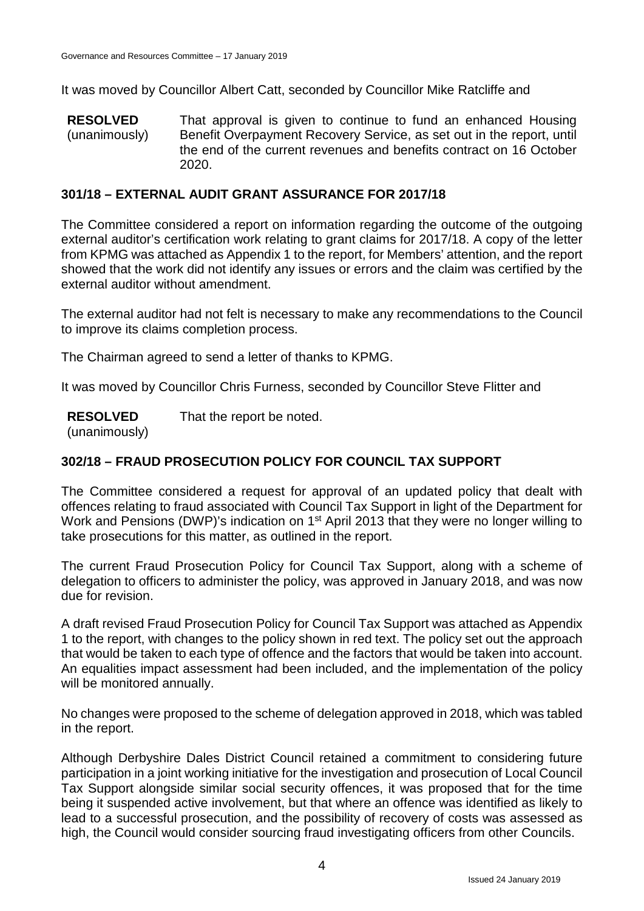It was moved by Councillor Albert Catt, seconded by Councillor Mike Ratcliffe and

**RESOLVED** (unanimously) That approval is given to continue to fund an enhanced Housing Benefit Overpayment Recovery Service, as set out in the report, until the end of the current revenues and benefits contract on 16 October 2020.

## **301/18 – EXTERNAL AUDIT GRANT ASSURANCE FOR 2017/18**

The Committee considered a report on information regarding the outcome of the outgoing external auditor's certification work relating to grant claims for 2017/18. A copy of the letter from KPMG was attached as Appendix 1 to the report, for Members' attention, and the report showed that the work did not identify any issues or errors and the claim was certified by the external auditor without amendment.

The external auditor had not felt is necessary to make any recommendations to the Council to improve its claims completion process.

The Chairman agreed to send a letter of thanks to KPMG.

It was moved by Councillor Chris Furness, seconded by Councillor Steve Flitter and

**RESOLVED** That the report be noted.

(unanimously)

# **302/18 – FRAUD PROSECUTION POLICY FOR COUNCIL TAX SUPPORT**

The Committee considered a request for approval of an updated policy that dealt with offences relating to fraud associated with Council Tax Support in light of the Department for Work and Pensions (DWP)'s indication on 1<sup>st</sup> April 2013 that they were no longer willing to take prosecutions for this matter, as outlined in the report.

The current Fraud Prosecution Policy for Council Tax Support, along with a scheme of delegation to officers to administer the policy, was approved in January 2018, and was now due for revision.

A draft revised Fraud Prosecution Policy for Council Tax Support was attached as Appendix 1 to the report, with changes to the policy shown in red text. The policy set out the approach that would be taken to each type of offence and the factors that would be taken into account. An equalities impact assessment had been included, and the implementation of the policy will be monitored annually.

No changes were proposed to the scheme of delegation approved in 2018, which was tabled in the report.

Although Derbyshire Dales District Council retained a commitment to considering future participation in a joint working initiative for the investigation and prosecution of Local Council Tax Support alongside similar social security offences, it was proposed that for the time being it suspended active involvement, but that where an offence was identified as likely to lead to a successful prosecution, and the possibility of recovery of costs was assessed as high, the Council would consider sourcing fraud investigating officers from other Councils.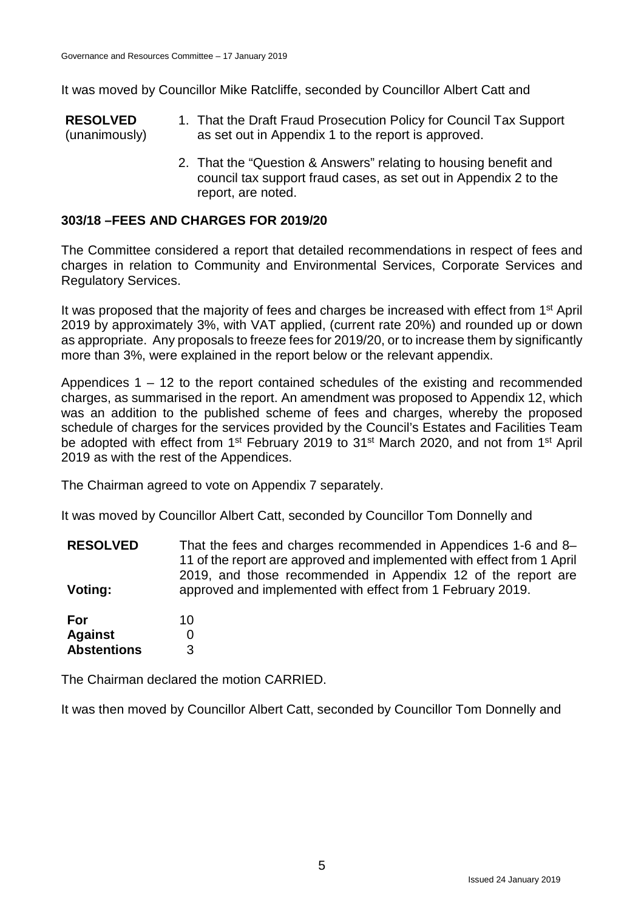It was moved by Councillor Mike Ratcliffe, seconded by Councillor Albert Catt and

**RESOLVED** (unanimously) 1. That the Draft Fraud Prosecution Policy for Council Tax Support as set out in Appendix 1 to the report is approved.

> 2. That the "Question & Answers" relating to housing benefit and council tax support fraud cases, as set out in Appendix 2 to the report, are noted.

# **303/18 –FEES AND CHARGES FOR 2019/20**

The Committee considered a report that detailed recommendations in respect of fees and charges in relation to Community and Environmental Services, Corporate Services and Regulatory Services.

It was proposed that the majority of fees and charges be increased with effect from 1<sup>st</sup> April 2019 by approximately 3%, with VAT applied, (current rate 20%) and rounded up or down as appropriate. Any proposals to freeze fees for 2019/20, or to increase them by significantly more than 3%, were explained in the report below or the relevant appendix.

Appendices 1 – 12 to the report contained schedules of the existing and recommended charges, as summarised in the report. An amendment was proposed to Appendix 12, which was an addition to the published scheme of fees and charges, whereby the proposed schedule of charges for the services provided by the Council's Estates and Facilities Team be adopted with effect from 1<sup>st</sup> February 2019 to 31<sup>st</sup> March 2020, and not from 1<sup>st</sup> April 2019 as with the rest of the Appendices.

The Chairman agreed to vote on Appendix 7 separately.

It was moved by Councillor Albert Catt, seconded by Councillor Tom Donnelly and

**RESOLVED Voting:** That the fees and charges recommended in Appendices 1-6 and 8– 11 of the report are approved and implemented with effect from 1 April 2019, and those recommended in Appendix 12 of the report are approved and implemented with effect from 1 February 2019.

**For Against Abstentions** 10  $\Omega$ 3

The Chairman declared the motion CARRIED.

It was then moved by Councillor Albert Catt, seconded by Councillor Tom Donnelly and